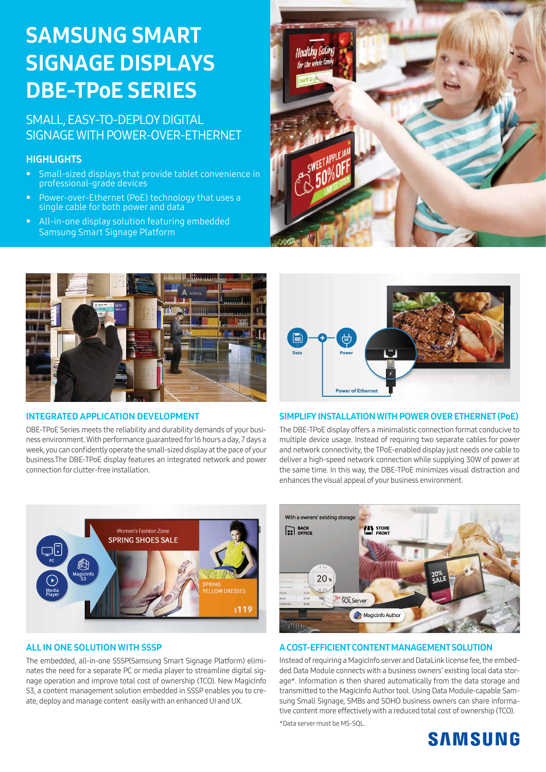# SAMSUNG SMART SIGNAGE DISPLAYS DBE-TPoE SERIES

## SMALL, EASY-TO-DEPLOY DIGITAL SIGNAGE WITH POWER-OVER-ETHERNET

### **HIGHLIGHTS**

- Small-sized displays that provide tablet convenience in professional-grade devices
- Power-over-Ethernet (PoE) technology that uses a single cable for both power and data
- All-in-one display solution featuring embedded Samsung Smart Signage Platform





#### INTEGRATED APPLICATION DEVELOPMENT

DBE-TPoE Series meets the reliability and durability demands of your business environment. With performance guaranteed for 16 hours a day, 7 days a week, you can confidently operate the small-sized display at the pace of your business.The DBE-TPoE display features an integrated network and power connection for clutter-free installation.



#### SIMPLIFY INSTALLATION WITH POWER OVER ETHERNET (PoE)

The DBE-TPoE display offers a minimalistic connection format conducive to multiple device usage. Instead of requiring two separate cables for power and network connectivity, the TPoE-enabled display just needs one cable to deliver a high-speed network connection while supplying 30W of power at the same time. In this way, the DBE-TPoE minimizes visual distraction and enhances the visual appeal of your business environment.



#### ALL IN ONE SOLUTION WITH SSSP

The embedded, all-in-one SSSP(Samsung Smart Signage Platform) eliminates the need for a separate PC or media player to streamline digital signage operation and improve total cost of ownership (TCO). New MagicInfo S3, a content management solution embedded in SSSP enables you to create, deploy and manage content easily with an enhanced UI and UX.



#### A COST-EFFICIENT CONTENT MANAGEMENT SOLUTION

Instead of requiring a MagicInfo server and DataLink license fee, the embedded Data Module connects with a business owners' existing local data storage\*. Information is then shared automatically from the data storage and transmitted to the MagicInfo Author tool. Using Data Module-capable Samsung Small Signage, SMBs and SOHO business owners can share informative content more effectively with a reduced total cost of ownership (TCO). \*Data server must be MS-SQL.